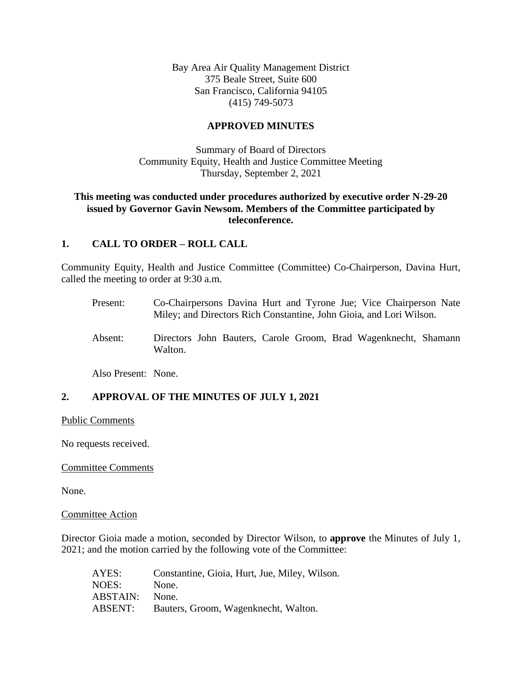Bay Area Air Quality Management District 375 Beale Street, Suite 600 San Francisco, California 94105 (415) 749-5073

### **APPROVED MINUTES**

Summary of Board of Directors Community Equity, Health and Justice Committee Meeting Thursday, September 2, 2021

### **This meeting was conducted under procedures authorized by executive order N-29-20 issued by Governor Gavin Newsom. Members of the Committee participated by teleconference.**

### **1. CALL TO ORDER – ROLL CALL**

Community Equity, Health and Justice Committee (Committee) Co-Chairperson, Davina Hurt, called the meeting to order at 9:30 a.m.

- Present: Co-Chairpersons Davina Hurt and Tyrone Jue; Vice Chairperson Nate Miley; and Directors Rich Constantine, John Gioia, and Lori Wilson.
- Absent: Directors John Bauters, Carole Groom, Brad Wagenknecht, Shamann Walton.

Also Present: None.

## **2. APPROVAL OF THE MINUTES OF JULY 1, 2021**

Public Comments

No requests received.

#### Committee Comments

None.

#### Committee Action

Director Gioia made a motion, seconded by Director Wilson, to **approve** the Minutes of July 1, 2021; and the motion carried by the following vote of the Committee:

| AYES:           | Constantine, Gioia, Hurt, Jue, Miley, Wilson. |
|-----------------|-----------------------------------------------|
| NOES:           | None.                                         |
| <b>ABSTAIN:</b> | None.                                         |
| ABSENT:         | Bauters, Groom, Wagenknecht, Walton.          |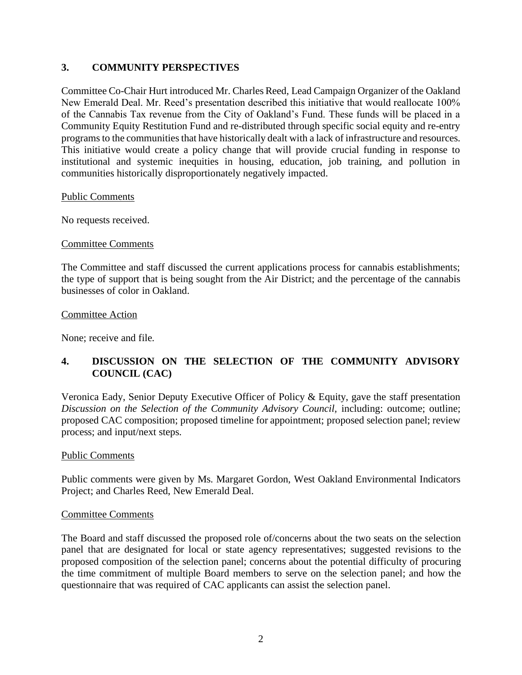## **3. COMMUNITY PERSPECTIVES**

Committee Co-Chair Hurt introduced Mr. Charles Reed, Lead Campaign Organizer of the Oakland New Emerald Deal. Mr. Reed's presentation described this initiative that would reallocate 100% of the Cannabis Tax revenue from the City of Oakland's Fund. These funds will be placed in a Community Equity Restitution Fund and re-distributed through specific social equity and re-entry programs to the communities that have historically dealt with a lack of infrastructure and resources. This initiative would create a policy change that will provide crucial funding in response to institutional and systemic inequities in housing, education, job training, and pollution in communities historically disproportionately negatively impacted.

#### Public Comments

No requests received.

### Committee Comments

The Committee and staff discussed the current applications process for cannabis establishments; the type of support that is being sought from the Air District; and the percentage of the cannabis businesses of color in Oakland.

### Committee Action

None; receive and file.

## **4. DISCUSSION ON THE SELECTION OF THE COMMUNITY ADVISORY COUNCIL (CAC)**

Veronica Eady, Senior Deputy Executive Officer of Policy & Equity, gave the staff presentation *Discussion on the Selection of the Community Advisory Council, including: outcome; outline;* proposed CAC composition; proposed timeline for appointment; proposed selection panel; review process; and input/next steps.

### Public Comments

Public comments were given by Ms. Margaret Gordon, West Oakland Environmental Indicators Project; and Charles Reed, New Emerald Deal.

### Committee Comments

The Board and staff discussed the proposed role of/concerns about the two seats on the selection panel that are designated for local or state agency representatives; suggested revisions to the proposed composition of the selection panel; concerns about the potential difficulty of procuring the time commitment of multiple Board members to serve on the selection panel; and how the questionnaire that was required of CAC applicants can assist the selection panel.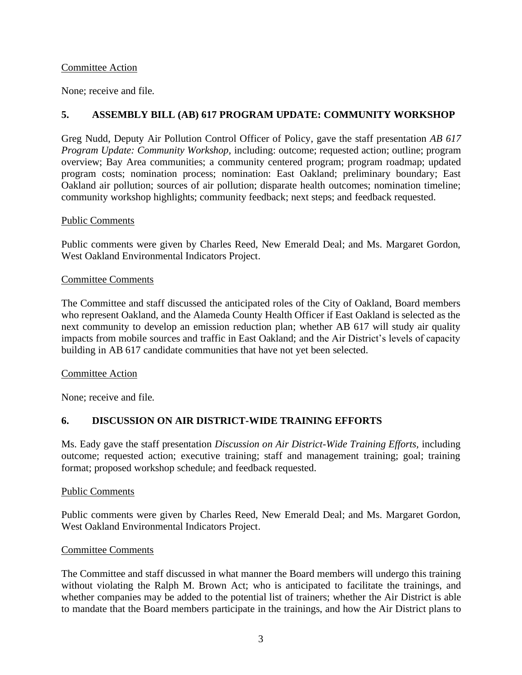### Committee Action

None; receive and file.

## **5. ASSEMBLY BILL (AB) 617 PROGRAM UPDATE: COMMUNITY WORKSHOP**

Greg Nudd, Deputy Air Pollution Control Officer of Policy, gave the staff presentation *AB 617 Program Update: Community Workshop,* including: outcome; requested action; outline; program overview; Bay Area communities; a community centered program; program roadmap; updated program costs; nomination process; nomination: East Oakland; preliminary boundary; East Oakland air pollution; sources of air pollution; disparate health outcomes; nomination timeline; community workshop highlights; community feedback; next steps; and feedback requested.

### Public Comments

Public comments were given by Charles Reed, New Emerald Deal; and Ms. Margaret Gordon, West Oakland Environmental Indicators Project.

### Committee Comments

The Committee and staff discussed the anticipated roles of the City of Oakland, Board members who represent Oakland, and the Alameda County Health Officer if East Oakland is selected as the next community to develop an emission reduction plan; whether AB 617 will study air quality impacts from mobile sources and traffic in East Oakland; and the Air District's levels of capacity building in AB 617 candidate communities that have not yet been selected.

### Committee Action

None; receive and file.

## **6. DISCUSSION ON AIR DISTRICT-WIDE TRAINING EFFORTS**

Ms. Eady gave the staff presentation *Discussion on Air District-Wide Training Efforts,* including outcome; requested action; executive training; staff and management training; goal; training format; proposed workshop schedule; and feedback requested.

### Public Comments

Public comments were given by Charles Reed, New Emerald Deal; and Ms. Margaret Gordon, West Oakland Environmental Indicators Project.

### Committee Comments

The Committee and staff discussed in what manner the Board members will undergo this training without violating the Ralph M. Brown Act; who is anticipated to facilitate the trainings, and whether companies may be added to the potential list of trainers; whether the Air District is able to mandate that the Board members participate in the trainings, and how the Air District plans to